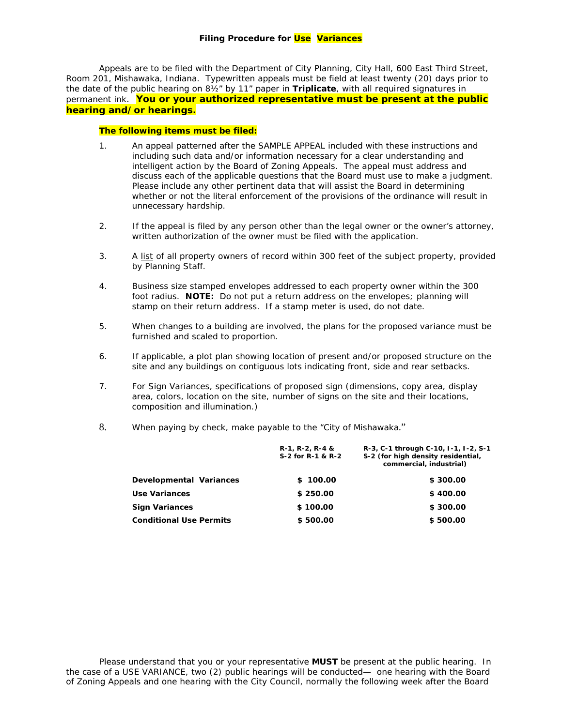Appeals are to be filed with the Department of City Planning, City Hall, 600 East Third Street, Room 201, Mishawaka, Indiana. Typewritten appeals must be field at least twenty (20) days prior to the date of the public hearing on 8½" by 11" paper in *Triplicate*, with all required signatures in permanent ink. **You or your authorized representative must be present at the public hearing and/or hearings.**

## **The following items must be filed:**

- 1. An appeal patterned after the SAMPLE APPEAL included with these instructions and including such data and/or information necessary for a clear understanding and intelligent action by the Board of Zoning Appeals. The appeal must address and discuss each of the applicable questions that the Board must use to make a judgment. Please include any other pertinent data that will assist the Board in determining whether or not the literal enforcement of the provisions of the ordinance will result in unnecessary hardship.
- 2. *If the appeal is filed by any person other than the legal owner or the owner's attorney,* written authorization of the owner must be filed with the application.
- 3. A list of all property owners of record within 300 feet of the subject property, provided by Planning Staff.
- 4. Business size stamped envelopes addressed to each property owner within the 300 foot radius. **NOTE:** Do *not* put a return address on the envelopes; planning will stamp on their return address. If a stamp meter is used, do not date.
- 5. *When changes to a building are involved,* the plans for the proposed variance must be furnished and scaled to proportion.
- 6. If applicable, a plot plan showing location of present and/or proposed structure on the site and any buildings on contiguous lots indicating front, side and rear setbacks.
- 7. *For Sign Variances*, specifications of proposed sign (dimensions, copy area, display area, colors, location on the site, number of signs on the site and their locations, composition and illumination.)
- 8. When paying by check, make payable to the "City of Mishawaka."

|                                | $R-1, R-2, R-4, 8$<br>S-2 for R-1 & R-2 | R-3, C-1 through C-10, I-1, I-2, S-1<br>S-2 (for high density residential,<br>commercial, industrial) |
|--------------------------------|-----------------------------------------|-------------------------------------------------------------------------------------------------------|
| Developmental Variances        | \$100.00                                | \$300.00                                                                                              |
| Use Variances                  | \$250.00                                | \$400.00                                                                                              |
| <b>Sign Variances</b>          | \$100.00                                | \$300.00                                                                                              |
| <b>Conditional Use Permits</b> | \$500.00                                | \$500.00                                                                                              |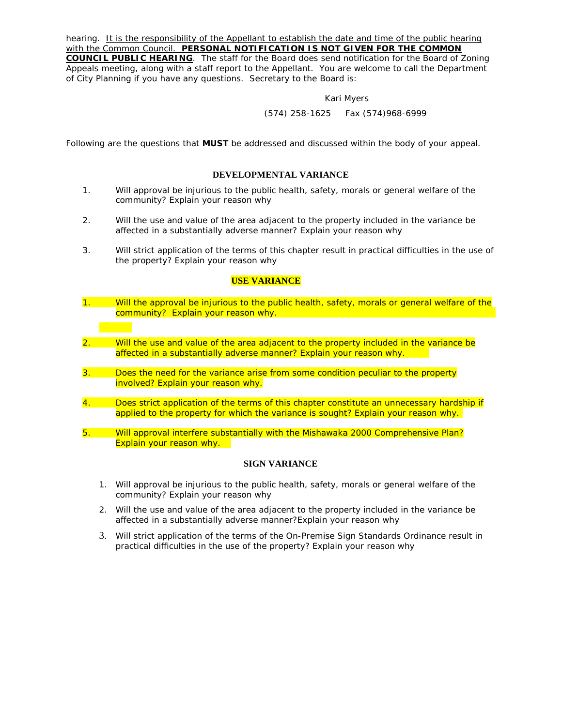hearing. *It is the responsibility of the Appellant to establish the date and time of the public hearing with the Common Council. PERSONAL NOTIFICATION IS NOT GIVEN FOR THE COMMON COUNCIL PUBLIC HEARING*. The staff for the Board does send notification for the Board of Zoning Appeals meeting, along with a staff report to the Appellant. You are welcome to call the Department of City Planning if you have any questions. Secretary to the Board is:

#### Kari Myers

### *(574) 258-1625 Fax (574)968-6999*

Following are the questions that *MUST* be addressed and discussed within the body of your appeal.

### **DEVELOPMENTAL VARIANCE**

- 1. Will approval be injurious to the public health, safety, morals or general welfare of the community? *Explain your reason why*
- 2. Will the use and value of the area adjacent to the property included in the variance be affected in a substantially adverse manner? *Explain your reason why*
- 3. Will strict application of the terms of this chapter result in practical difficulties in the use of the property? *Explain your reason why*

### **USE VARIANCE**

- 1. Will the approval be injurious to the public health, safety, morals or general welfare of the community? *Explain your reason why.*
- 2. Will the use and value of the area adjacent to the property included in the variance be affected in a substantially adverse manner? *Explain your reason why.*
- *3.* Does the need for the variance arise from some condition peculiar to the property involved? *Explain your reason why.*
- 4. Does strict application of the terms of this chapter constitute an unnecessary hardship if applied to the property for which the variance is sought? *Explain your reason why.*
- 5. Will approval interfere substantially with the Mishawaka 2000 Comprehensive Plan? *Explain your reason why.*

# **SIGN VARIANCE**

- 1. Will approval be injurious to the public health, safety, morals or general welfare of the community? *Explain your reason why*
- 2. Will the use and value of the area adjacent to the property included in the variance be affected in a substantially adverse manner?*Explain your reason why*
- 3. Will strict application of the terms of the On-Premise Sign Standards Ordinance result in practical difficulties in the use of the property? *Explain your reason why*